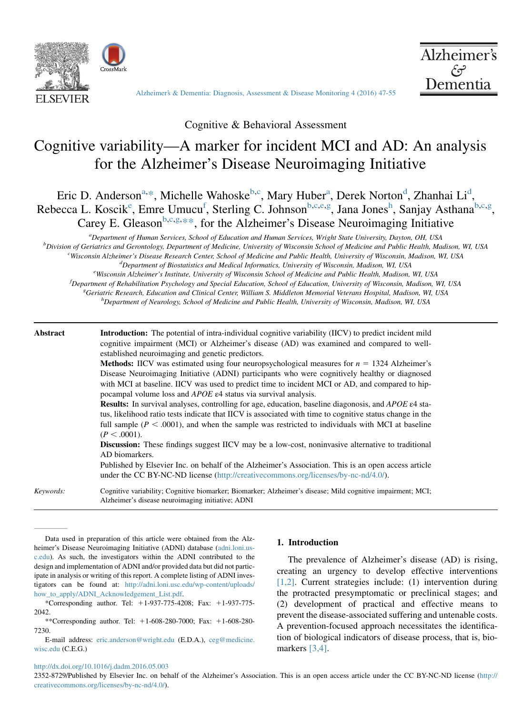

Alzheimer's تې Dementia

[Alzheimer's & Dementia: Diagnosis, Assessment & Disease Monitoring 4 \(2016\) 47-55](http://dx.doi.org/10.1016/j.dadm.2016.05.003)

Cognitive & Behavioral Assessment

# Cognitive variability—A marker for incident MCI and AD: An analysis for the Alzheimer's Disease Neuroimaging Initiative

Eric D. Anderson<sup>a,\*</sup>, Michelle Wahoske<sup>b,c</sup>, Mary Huber<sup>a</sup>, Derek Norton<sup>d</sup>, Zhanhai Li<sup>d</sup>, Rebecca L. Koscik<sup>e</sup>, Emre Umucu<sup>f</sup>, Sterling C. Johnson<sup>b,c,e,g</sup>, Jana Jones<sup>h</sup>, Sanjay Asthana<sup>b,c,g</sup>, Carey E. Gleason<sup>b,c,g,\*\*</sup>, for the Alzheimer's Disease Neuroimaging Initiative

<sup>a</sup>Department of Human Services, School of Education and Human Services, Wright State University, Dayton, OH, USA<br><sup>b</sup>Division of Geriatrics and Gerontology, Department of Medicine, University of Wisconsin School of Medicin <sup>b</sup>Division of Geriatrics and Gerontology, Department of Medicine, University of Wisconsin School of Medicine and Public Health, Madison, WI, USA <sup>c</sup>Wisconsin Alzheimer's Disease Research Center, School of Medicine and Public Health, University of Wisconsin, Madison, WI, USA<br><sup>d</sup> Denastmart of Piestatistics and Medical Informaties, University of Wisconsin, Madison, W  ${}^d$ Department of Biostatistics and Medical Informatics, University of Wisconsin, Madison, WI, USA

Wisconsin Alzheimer's Institute, University of Wisconsin School of Medicine and Public Health, Madison, WI, USA <sup>f</sup>Department of Rehabilitation Psychology and Special Education, School of Education, University of Wisconsin, Madison, WI, USA Geriatric Research, Education and Clinical Center, William S. Middleton Memorial Veterans Hospital, Madison, WI, USA<br>hapartment of Nauralagy School of Madicine and Public Haalth University of Wisconsin, Madison, WI, USA  $h$ Department of Neurology, School of Medicine and Public Health, University of Wisconsin, Madison, WI, USA

# Abstract Introduction: The potential of intra-individual cognitive variability (IICV) to predict incident mild cognitive impairment (MCI) or Alzheimer's disease (AD) was examined and compared to wellestablished neuroimaging and genetic predictors. **Methods:** IICV was estimated using four neuropsychological measures for  $n = 1324$  Alzheimer's Disease Neuroimaging Initiative (ADNI) participants who were cognitively healthy or diagnosed with MCI at baseline. IICV was used to predict time to incident MCI or AD, and compared to hippocampal volume loss and APOE ε4 status via survival analysis. Results: In survival analyses, controlling for age, education, baseline diagonosis, and APOE ε4 status, likelihood ratio tests indicate that IICV is associated with time to cognitive status change in the full sample  $(P < .0001)$ , and when the sample was restricted to individuals with MCI at baseline  $(P < .0001)$ . Discussion: These findings suggest IICV may be a low-cost, noninvasive alternative to traditional AD biomarkers. Published by Elsevier Inc. on behalf of the Alzheimer's Association. This is an open access article under the CC BY-NC-ND license [\(http://creativecommons.org/licenses/by-nc-nd/4.0/\)](http://creativecommons.org/licenses/by-nc-nd/4.0/). Keywords: Cognitive variability; Cognitive biomarker; Biomarker; Alzheimer's disease; Mild cognitive impairment; MCI; Alzheimer's disease neuroimaging initiative; ADNI

Data used in preparation of this article were obtained from the Alzheimer's Disease Neuroimaging Initiative (ADNI) database [\(adni.loni.us](http://adni.loni.usc.edu)[c.edu\)](http://adni.loni.usc.edu). As such, the investigators within the ADNI contributed to the design and implementation of ADNI and/or provided data but did not participate in analysis or writing of this report. A complete listing of ADNI investigators can be found at: [http://adni.loni.usc.edu/wp-content/uploads/](http://adni.loni.usc.edu/wp-content/uploads/how_to_apply/ADNI_Acknowledgement_List.pdf) [how\\_to\\_apply/ADNI\\_Acknowledgement\\_List.pdf](http://adni.loni.usc.edu/wp-content/uploads/how_to_apply/ADNI_Acknowledgement_List.pdf).

\*Corresponding author. Tel: 11-937-775-4208; Fax: 11-937-775- 2042.

\*\*Corresponding author. Tel:  $+1-608-280-7000$ ; Fax:  $+1-608-280-$ 7230.

E-mail address: [eric.anderson@wright.edu](mailto:eric.anderson@wright.edu) (E.D.A.), [ceg@medicine.](mailto:ceg@medicine.wisc.edu) [wisc.edu](mailto:ceg@medicine.wisc.edu) (C.E.G.)

# 1. Introduction

The prevalence of Alzheimer's disease (AD) is rising, creating an urgency to develop effective interventions [\[1,2\]](#page-7-0). Current strategies include: (1) intervention during the protracted presymptomatic or preclinical stages; and (2) development of practical and effective means to prevent the disease-associated suffering and untenable costs. A prevention-focused approach necessitates the identification of biological indicators of disease process, that is, bio-markers [\[3,4\]](#page-7-0).

#### <http://dx.doi.org/10.1016/j.dadm.2016.05.003>

2352-8729/Published by Elsevier Inc. on behalf of the Alzheimer's Association. This is an open access article under the CC BY-NC-ND license ([http://](http://creativecommons.org/licenses/by-nc-nd/4.0/) [creativecommons.org/licenses/by-nc-nd/4.0/](http://creativecommons.org/licenses/by-nc-nd/4.0/)).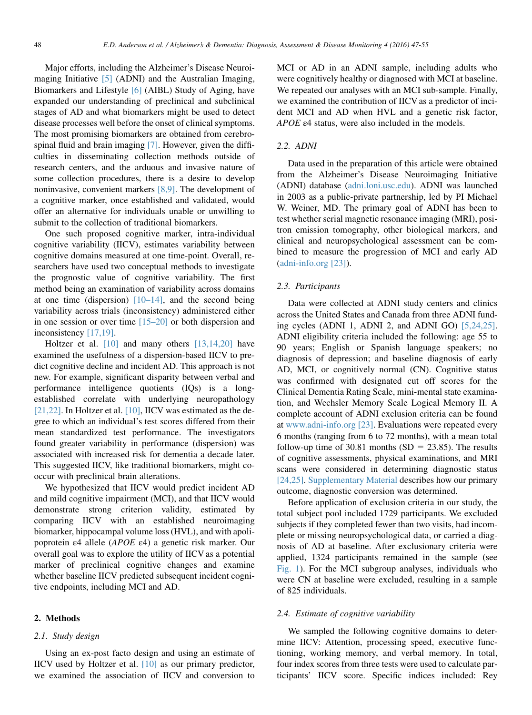Major efforts, including the Alzheimer's Disease Neuroimaging Initiative [\[5\]](#page-7-0) (ADNI) and the Australian Imaging, Biomarkers and Lifestyle [\[6\]](#page-7-0) (AIBL) Study of Aging, have expanded our understanding of preclinical and subclinical stages of AD and what biomarkers might be used to detect disease processes well before the onset of clinical symptoms. The most promising biomarkers are obtained from cerebrospinal fluid and brain imaging [\[7\]](#page-7-0). However, given the difficulties in disseminating collection methods outside of research centers, and the arduous and invasive nature of some collection procedures, there is a desire to develop noninvasive, convenient markers [\[8,9\].](#page-7-0) The development of a cognitive marker, once established and validated, would offer an alternative for individuals unable or unwilling to submit to the collection of traditional biomarkers.

One such proposed cognitive marker, intra-individual cognitive variability (IICV), estimates variability between cognitive domains measured at one time-point. Overall, researchers have used two conceptual methods to investigate the prognostic value of cognitive variability. The first method being an examination of variability across domains at one time (dispersion)  $[10-14]$ , and the second being variability across trials (inconsistency) administered either in one session or over time  $[15-20]$  or both dispersion and inconsistency [\[17,19\]](#page-7-0).

Holtzer et al. [\[10\]](#page-7-0) and many others [\[13,14,20\]](#page-7-0) have examined the usefulness of a dispersion-based IICV to predict cognitive decline and incident AD. This approach is not new. For example, significant disparity between verbal and performance intelligence quotients (IQs) is a longestablished correlate with underlying neuropathology [\[21,22\]](#page-7-0). In Holtzer et al. [\[10\]](#page-7-0), IICV was estimated as the degree to which an individual's test scores differed from their mean standardized test performance. The investigators found greater variability in performance (dispersion) was associated with increased risk for dementia a decade later. This suggested IICV, like traditional biomarkers, might cooccur with preclinical brain alterations.

We hypothesized that IICV would predict incident AD and mild cognitive impairment (MCI), and that IICV would demonstrate strong criterion validity, estimated by comparing IICV with an established neuroimaging biomarker, hippocampal volume loss (HVL), and with apolipoprotein ε4 allele (APOE ε4) a genetic risk marker. Our overall goal was to explore the utility of IICV as a potential marker of preclinical cognitive changes and examine whether baseline IICV predicted subsequent incident cognitive endpoints, including MCI and AD.

## 2. Methods

#### 2.1. Study design

Using an ex-post facto design and using an estimate of IICV used by Holtzer et al. [\[10\]](#page-7-0) as our primary predictor, we examined the association of IICV and conversion to

MCI or AD in an ADNI sample, including adults who were cognitively healthy or diagnosed with MCI at baseline. We repeated our analyses with an MCI sub-sample. Finally, we examined the contribution of IICV as a predictor of incident MCI and AD when HVL and a genetic risk factor, APOE ε4 status, were also included in the models.

#### 2.2. ADNI

Data used in the preparation of this article were obtained from the Alzheimer's Disease Neuroimaging Initiative (ADNI) database [\(adni.loni.usc.edu](http://adni.loni.usc.edu)). ADNI was launched in 2003 as a public-private partnership, led by PI Michael W. Weiner, MD. The primary goal of ADNI has been to test whether serial magnetic resonance imaging (MRI), positron emission tomography, other biological markers, and clinical and neuropsychological assessment can be combined to measure the progression of MCI and early AD [\(adni-info.org](http://adni-info.org) [\[23\]](#page-7-0)).

## 2.3. Participants

Data were collected at ADNI study centers and clinics across the United States and Canada from three ADNI funding cycles (ADNI 1, ADNI 2, and ADNI GO) [\[5,24,25\].](#page-7-0) ADNI eligibility criteria included the following: age 55 to 90 years; English or Spanish language speakers; no diagnosis of depression; and baseline diagnosis of early AD, MCI, or cognitively normal (CN). Cognitive status was confirmed with designated cut off scores for the Clinical Dementia Rating Scale, mini-mental state examination, and Wechsler Memory Scale Logical Memory II. A complete account of ADNI exclusion criteria can be found at [www.adni-info.org](http://www.adni-info.org) [\[23\]](#page-7-0). Evaluations were repeated every 6 months (ranging from 6 to 72 months), with a mean total follow-up time of 30.81 months (SD = 23.85). The results of cognitive assessments, physical examinations, and MRI scans were considered in determining diagnostic status [\[24,25\]](#page-7-0). Supplementary Material describes how our primary outcome, diagnostic conversion was determined.

Before application of exclusion criteria in our study, the total subject pool included 1729 participants. We excluded subjects if they completed fewer than two visits, had incomplete or missing neuropsychological data, or carried a diagnosis of AD at baseline. After exclusionary criteria were applied, 1324 participants remained in the sample (see [Fig. 1\)](#page-2-0). For the MCI subgroup analyses, individuals who were CN at baseline were excluded, resulting in a sample of 825 individuals.

#### 2.4. Estimate of cognitive variability

We sampled the following cognitive domains to determine IICV: Attention, processing speed, executive functioning, working memory, and verbal memory. In total, four index scores from three tests were used to calculate participants' IICV score. Specific indices included: Rey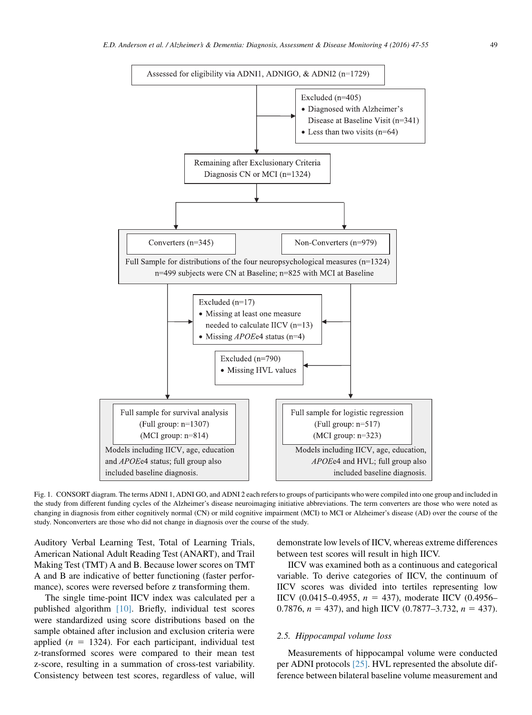<span id="page-2-0"></span>

Fig. 1. CONSORT diagram. The terms ADNI 1, ADNI GO, and ADNI 2 each refers to groups of participants who were compiled into one group and included in the study from different funding cycles of the Alzheimer's disease neuroimaging initiative abbreviations. The term converters are those who were noted as changing in diagnosis from either cognitively normal (CN) or mild cognitive impairment (MCI) to MCI or Alzheimer's disease (AD) over the course of the study. Nonconverters are those who did not change in diagnosis over the course of the study.

Auditory Verbal Learning Test, Total of Learning Trials, American National Adult Reading Test (ANART), and Trail Making Test (TMT) A and B. Because lower scores on TMT A and B are indicative of better functioning (faster performance), scores were reversed before z transforming them.

The single time-point IICV index was calculated per a published algorithm [\[10\].](#page-7-0) Briefly, individual test scores were standardized using score distributions based on the sample obtained after inclusion and exclusion criteria were applied ( $n = 1324$ ). For each participant, individual test z-transformed scores were compared to their mean test z-score, resulting in a summation of cross-test variability. Consistency between test scores, regardless of value, will demonstrate low levels of IICV, whereas extreme differences between test scores will result in high IICV.

IICV was examined both as a continuous and categorical variable. To derive categories of IICV, the continuum of IICV scores was divided into tertiles representing low IICV (0.0415–0.4955,  $n = 437$ ), moderate IICV (0.4956– 0.7876,  $n = 437$ ), and high IICV (0.7877–3.732,  $n = 437$ ).

#### 2.5. Hippocampal volume loss

Measurements of hippocampal volume were conducted per ADNI protocols [\[25\]](#page-8-0). HVL represented the absolute difference between bilateral baseline volume measurement and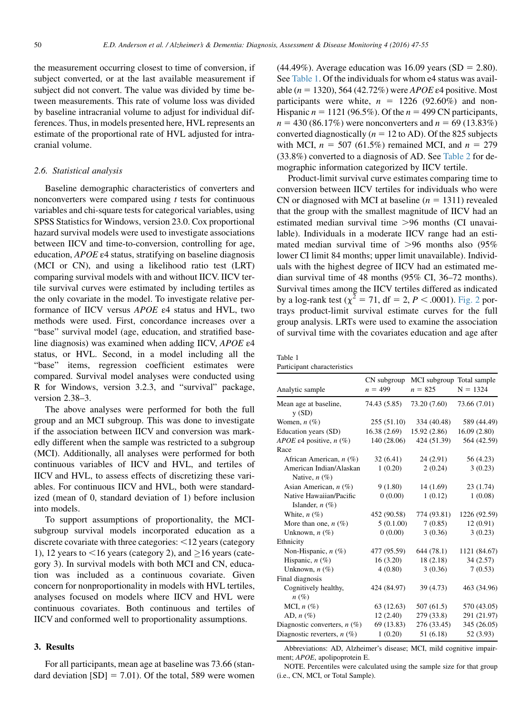the measurement occurring closest to time of conversion, if subject converted, or at the last available measurement if subject did not convert. The value was divided by time between measurements. This rate of volume loss was divided by baseline intracranial volume to adjust for individual differences. Thus, in models presented here, HVL represents an estimate of the proportional rate of HVL adjusted for intracranial volume.

#### 2.6. Statistical analysis

Baseline demographic characteristics of converters and nonconverters were compared using  $t$  tests for continuous variables and chi-square tests for categorical variables, using SPSS Statistics for Windows, version 23.0. Cox proportional hazard survival models were used to investigate associations between IICV and time-to-conversion, controlling for age, education,  $APOE$  ε4 status, stratifying on baseline diagnosis (MCI or CN), and using a likelihood ratio test (LRT) comparing survival models with and without IICV. IICV tertile survival curves were estimated by including tertiles as the only covariate in the model. To investigate relative performance of IICV versus APOE ε4 status and HVL, two methods were used. First, concordance increases over a "base" survival model (age, education, and stratified baseline diagnosis) was examined when adding IICV, APOE ε4 status, or HVL. Second, in a model including all the "base" items, regression coefficient estimates were compared. Survival model analyses were conducted using R for Windows, version 3.2.3, and "survival" package, version 2.38–3.

The above analyses were performed for both the full group and an MCI subgroup. This was done to investigate if the association between IICV and conversion was markedly different when the sample was restricted to a subgroup (MCI). Additionally, all analyses were performed for both continuous variables of IICV and HVL, and tertiles of IICV and HVL, to assess effects of discretizing these variables. For continuous IICV and HVL, both were standardized (mean of 0, standard deviation of 1) before inclusion into models.

To support assumptions of proportionality, the MCIsubgroup survival models incorporated education as a discrete covariate with three categories:  $\leq$ 12 years (category 1), 12 years to  $\leq$ 16 years (category 2), and  $\geq$ 16 years (category 3). In survival models with both MCI and CN, education was included as a continuous covariate. Given concern for nonproportionality in models with HVL tertiles, analyses focused on models where IICV and HVL were continuous covariates. Both continuous and tertiles of IICV and conformed well to proportionality assumptions.

# 3. Results

For all participants, mean age at baseline was 73.66 (standard deviation  $[SD] = 7.01$ . Of the total, 589 were women  $(44.49\%)$ . Average education was 16.09 years (SD = 2.80). See Table 1. Of the individuals for whom e4 status was available ( $n = 1320$ ), 564 (42.72%) were APOE ε4 positive. Most participants were white,  $n = 1226$  (92.60%) and non-Hispanic  $n = 1121 (96.5\%)$ . Of the  $n = 499$  CN participants,  $n = 430 (86.17%)$  were nonconverters and  $n = 69 (13.83%)$ converted diagnostically ( $n = 12$  to AD). Of the 825 subjects with MCI,  $n = 507$  (61.5%) remained MCI, and  $n = 279$ (33.8%) converted to a diagnosis of AD. See [Table 2](#page-4-0) for demographic information categorized by IICV tertile.

Product-limit survival curve estimates comparing time to conversion between IICV tertiles for individuals who were CN or diagnosed with MCI at baseline  $(n = 1311)$  revealed that the group with the smallest magnitude of IICV had an estimated median survival time >96 months (CI unavailable). Individuals in a moderate IICV range had an estimated median survival time of  $>96$  months also (95%) lower CI limit 84 months; upper limit unavailable). Individuals with the highest degree of IICV had an estimated median survival time of 48 months (95% CI, 36–72 months). Survival times among the IICV tertiles differed as indicated by a log-rank test ( $\chi^2 = 71$ , df = 2, P < .0001). [Fig. 2](#page-4-0) portrays product-limit survival estimate curves for the full group analysis. LRTs were used to examine the association of survival time with the covariates education and age after

| Table 1               |  |
|-----------------------|--|
| Doutisins nt shonosta |  |

|  | Participant characteristics |
|--|-----------------------------|
|--|-----------------------------|

| Analytic sample                              | CN subgroup<br>$n = 499$ | MCI subgroup Total sample<br>$n = 825$ | $N = 1324$   |
|----------------------------------------------|--------------------------|----------------------------------------|--------------|
| Mean age at baseline,<br>y(SD)               | 74.43 (5.85)             | 73.20 (7.60)                           | 73.66 (7.01) |
| Women, $n$ $(\%)$                            | 255(51.10)               | 334 (40.48)                            | 589 (44.49)  |
| Education years (SD)                         | 16.38 (2.69)             | 15.92(2.86)                            | 16.09(2.80)  |
| APOE $\varepsilon$ 4 positive, n $(\%)$      | 140 (28.06)              | 424 (51.39)                            | 564 (42.59)  |
| Race                                         |                          |                                        |              |
| African American, $n$ (%)                    | 32(6.41)                 | 24 (2.91)                              | 56 (4.23)    |
| American Indian/Alaskan<br>Native, $n$ (%)   | 1(0.20)                  | 2(0.24)                                | 3(0.23)      |
| Asian American, $n$ (%)                      | 9(1.80)                  | 14(1.69)                               | 23 (1.74)    |
| Native Hawaiian/Pacific<br>Islander, $n(\%)$ | 0(0.00)                  | 1(0.12)                                | 1(0.08)      |
| White, $n(\%)$                               | 452 (90.58)              | 774 (93.81)                            | 1226 (92.59) |
| More than one, $n$ (%)                       | 5(0.1.00)                | 7(0.85)                                | 12(0.91)     |
| Unknown, $n$ $(\%)$                          | 0(0.00)                  | 3(0.36)                                | 3(0.23)      |
| Ethnicity                                    |                          |                                        |              |
| Non-Hispanic, $n$ (%)                        | 477 (95.59)              | 644 (78.1)                             | 1121 (84.67) |
| Hispanic, $n$ (%)                            | 16(3.20)                 | 18(2.18)                               | 34(2.57)     |
| Unknown, $n$ $(\%)$                          | 4(0.80)                  | 3(0.36)                                | 7(0.53)      |
| Final diagnosis                              |                          |                                        |              |
| Cognitively healthy,<br>$n(\%)$              | 424 (84.97)              | 39 (4.73)                              | 463 (34.96)  |
| MCI, $n$ $(\%)$                              | 63(12.63)                | 507(61.5)                              | 570 (43.05)  |
| AD, $n$ $(\%)$                               | 12(2.40)                 | 279 (33.8)                             | 291 (21.97)  |
| Diagnostic converters, $n$ (%)               | 69(13.83)                | 276 (33.45)                            | 345 (26.05)  |
| Diagnostic reverters, $n$ (%)                | 1(0.20)                  | 51 (6.18)                              | 52 (3.93)    |

Abbreviations: AD, Alzheimer's disease; MCI, mild cognitive impairment; APOE, apolipoprotein E.

NOTE. Percentiles were calculated using the sample size for that group (i.e., CN, MCI, or Total Sample).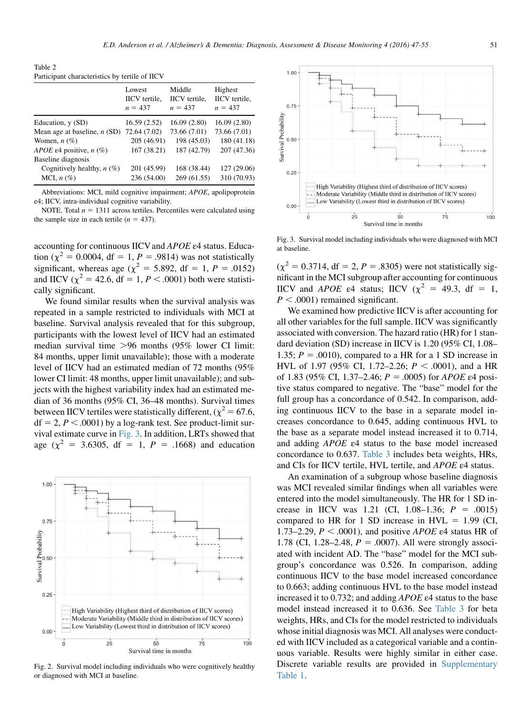<span id="page-4-0"></span>Table 2 Participant characteristics by tertile of IICV

|                                                       | Lowest<br>IICV tertile,<br>$n = 437$ | Middle<br>IICV tertile,<br>$n = 437$ | Highest<br>IICV tertile,<br>$n = 437$ |
|-------------------------------------------------------|--------------------------------------|--------------------------------------|---------------------------------------|
| Education, y (SD)                                     | 16.59(2.52)                          | 16.09(2.80)                          | 16.09(2.80)                           |
| Mean age at baseline, $n(SD)$                         | 72.64 (7.02)                         | 73.66 (7.01)                         | 73.66 (7.01)                          |
| Women, $n$ (%)                                        | 205 (46.91)                          | 198 (45.03)                          | 180 (41.18)                           |
| <i>APOE</i> $\varepsilon$ 4 positive, <i>n</i> $(\%)$ | 167(38.21)                           | 187 (42.79)                          | 207 (47.36)                           |
| Baseline diagnosis                                    |                                      |                                      |                                       |
| Cognitively healthy, $n$ (%)                          | 201 (45.99)                          | 168 (38.44)                          | 127 (29.06)                           |
| MCI, $n$ (%)                                          | 236 (54.00)                          | 269 (61.55)                          | 310 (70.93)                           |

Abbreviations: MCI, mild cognitive impairment; APOE, apolipoprotein e4; IICV, intra-individual cognitive variability.

NOTE. Total  $n = 1311$  across tertiles. Percentiles were calculated using the sample size in each tertile  $(n = 437)$ .

accounting for continuous IICV and APOE ε4 status. Education ( $\chi^2$  = 0.0004, df = 1, P = .9814) was not statistically significant, whereas age ( $\chi^2 = 5.892$ , df = 1, P = .0152) and IICV ( $\chi^2$  = 42.6, df = 1, P < .0001) both were statistically significant.

We found similar results when the survival analysis was repeated in a sample restricted to individuals with MCI at baseline. Survival analysis revealed that for this subgroup, participants with the lowest level of IICV had an estimated median survival time  $>96$  months (95% lower CI limit: 84 months, upper limit unavailable); those with a moderate level of IICV had an estimated median of 72 months (95% lower CI limit: 48 months, upper limit unavailable); and subjects with the highest variability index had an estimated median of 36 months (95% CI, 36–48 months). Survival times between IICV tertiles were statistically different,  $(\chi^2 = 67.6,$  $df = 2, P < .0001$ ) by a log-rank test. See product-limit survival estimate curve in Fig. 3. In addition, LRTs showed that age ( $\chi^2$  = 3.6305, df = 1, P = .1668) and education



Fig. 2. Survival model including individuals who were cognitively healthy or diagnosed with MCI at baseline.



Fig. 3. Survival model including individuals who were diagnosed with MCI at baseline.

 $(\chi^2 = 0.3714, df = 2, P = .8305)$  were not statistically significant in the MCI subgroup after accounting for continuous IICV and *APOE*  $\varepsilon$ 4 status; IICV ( $\chi^2$  = 49.3, df = 1,  $P < .0001$ ) remained significant.

We examined how predictive IICV is after accounting for all other variables for the full sample. IICV was significantly associated with conversion. The hazard ratio (HR) for 1 standard deviation (SD) increase in IICV is 1.20 (95% CI, 1.08– 1.35;  $P = .0010$ ), compared to a HR for a 1 SD increase in HVL of 1.97 (95% CI, 1.72–2.26;  $P < .0001$ ), and a HR of 1.83 (95% CI, 1.37–2.46;  $P = .0005$ ) for *APOE* ε4 positive status compared to negative. The "base" model for the full group has a concordance of 0.542. In comparison, adding continuous IICV to the base in a separate model increases concordance to 0.645, adding continuous HVL to the base as a separate model instead increased it to 0.714, and adding APOE ε4 status to the base model increased concordance to 0.637. [Table 3](#page-5-0) includes beta weights, HRs, and CIs for IICV tertile, HVL tertile, and APOE ε4 status.

An examination of a subgroup whose baseline diagnosis was MCI revealed similar findings when all variables were entered into the model simultaneously. The HR for 1 SD increase in IICV was 1.21 (CI, 1.08–1.36;  $P = .0015$ ) compared to HR for 1 SD increase in  $HVL = 1.99$  (CI, 1.73–2.29,  $P < .0001$ ), and positive APOE  $\varepsilon$ 4 status HR of 1.78 (CI, 1.28–2.48,  $P = .0007$ ). All were strongly associated with incident AD. The "base" model for the MCI subgroup's concordance was 0.526. In comparison, adding continuous IICV to the base model increased concordance to 0.663; adding continuous HVL to the base model instead increased it to 0.732; and adding  $APOE$   $\varepsilon$ 4 status to the base model instead increased it to 0.636. See [Table 3](#page-5-0) for beta weights, HRs, and CIs for the model restricted to individuals whose initial diagnosis was MCI. All analyses were conducted with IICV included as a categorical variable and a continuous variable. Results were highly similar in either case. Discrete variable results are provided in Supplementary Table 1.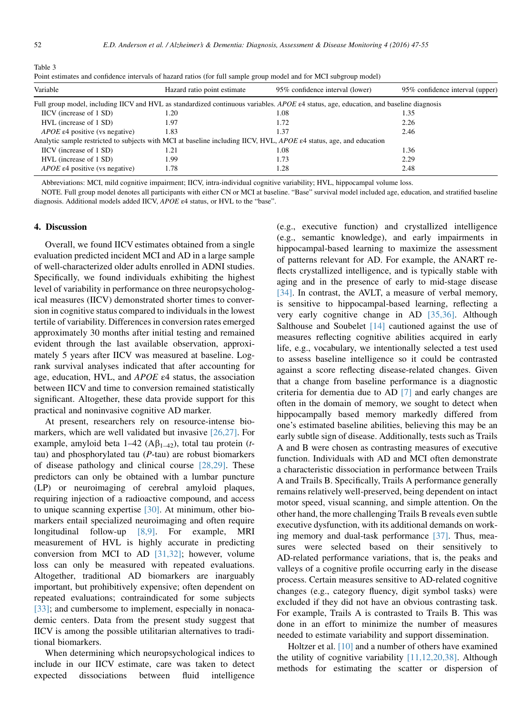<span id="page-5-0"></span>

Point estimates and confidence intervals of hazard ratios (for full sample group model and for MCI subgroup model)

| Variable                                                                                                                                           | Hazard ratio point estimate | 95% confidence interval (lower) | 95% confidence interval (upper) |
|----------------------------------------------------------------------------------------------------------------------------------------------------|-----------------------------|---------------------------------|---------------------------------|
| Full group model, including IICV and HVL as standardized continuous variables. APOE $\varepsilon$ 4 status, age, education, and baseline diagnosis |                             |                                 |                                 |
| IICV (increase of 1 SD)                                                                                                                            | 1.20                        | 1.08                            | 1.35                            |
| HVL (increase of 1 SD)                                                                                                                             | 1.97                        | 1.72                            | 2.26                            |
| <i>APOE</i> $\varepsilon$ 4 positive (vs negative)                                                                                                 | 1.83                        | 1.37                            | 2.46                            |
| Analytic sample restricted to subjects with MCI at baseline including IICV, HVL, APOE $\epsilon$ 4 status, age, and education                      |                             |                                 |                                 |
| IICV (increase of 1 SD)                                                                                                                            | 1.21                        | 1.08                            | 1.36                            |
| HVL (increase of 1 SD)                                                                                                                             | 1.99                        | 1.73                            | 2.29                            |
| $APOE$ $\varepsilon$ 4 positive (vs negative)                                                                                                      | 1.78                        | 1.28                            | 2.48                            |

Abbreviations: MCI, mild cognitive impairment; IICV, intra-individual cognitive variability; HVL, hippocampal volume loss.

NOTE. Full group model denotes all participants with either CN or MCI at baseline. "Base" survival model included age, education, and stratified baseline diagnosis. Additional models added IICV, APOE ε4 status, or HVL to the "base".

#### 4. Discussion

Overall, we found IICV estimates obtained from a single evaluation predicted incident MCI and AD in a large sample of well-characterized older adults enrolled in ADNI studies. Specifically, we found individuals exhibiting the highest level of variability in performance on three neuropsychological measures (IICV) demonstrated shorter times to conversion in cognitive status compared to individuals in the lowest tertile of variability. Differences in conversion rates emerged approximately 30 months after initial testing and remained evident through the last available observation, approximately 5 years after IICV was measured at baseline. Logrank survival analyses indicated that after accounting for age, education, HVL, and  $APOE$   $\varepsilon$ 4 status, the association between IICV and time to conversion remained statistically significant. Altogether, these data provide support for this practical and noninvasive cognitive AD marker.

At present, researchers rely on resource-intense biomarkers, which are well validated but invasive [\[26,27\].](#page-8-0) For example, amyloid beta 1–42 ( $\mathbf{A}\mathbf{\beta}_{1-42}$ ), total tau protein (*t*tau) and phosphorylated tau  $(P$ -tau) are robust biomarkers of disease pathology and clinical course [\[28,29\]](#page-8-0). These predictors can only be obtained with a lumbar puncture (LP) or neuroimaging of cerebral amyloid plaques, requiring injection of a radioactive compound, and access to unique scanning expertise [\[30\].](#page-8-0) At minimum, other biomarkers entail specialized neuroimaging and often require longitudinal follow-up [\[8,9\]](#page-7-0). For example, MRI measurement of HVL is highly accurate in predicting conversion from MCI to AD [\[31,32\];](#page-8-0) however, volume loss can only be measured with repeated evaluations. Altogether, traditional AD biomarkers are inarguably important, but prohibitively expensive; often dependent on repeated evaluations; contraindicated for some subjects [\[33\];](#page-8-0) and cumbersome to implement, especially in nonacademic centers. Data from the present study suggest that IICV is among the possible utilitarian alternatives to traditional biomarkers.

When determining which neuropsychological indices to include in our IICV estimate, care was taken to detect expected dissociations between fluid intelligence (e.g., executive function) and crystallized intelligence (e.g., semantic knowledge), and early impairments in hippocampal-based learning to maximize the assessment of patterns relevant for AD. For example, the ANART reflects crystallized intelligence, and is typically stable with aging and in the presence of early to mid-stage disease [\[34\].](#page-8-0) In contrast, the AVLT, a measure of verbal memory, is sensitive to hippocampal-based learning, reflecting a very early cognitive change in AD [\[35,36\]](#page-8-0). Although Salthouse and Soubelet [\[14\]](#page-7-0) cautioned against the use of measures reflecting cognitive abilities acquired in early life, e.g., vocabulary, we intentionally selected a test used to assess baseline intelligence so it could be contrasted against a score reflecting disease-related changes. Given that a change from baseline performance is a diagnostic criteria for dementia due to AD [\[7\]](#page-7-0) and early changes are often in the domain of memory, we sought to detect when hippocampally based memory markedly differed from one's estimated baseline abilities, believing this may be an early subtle sign of disease. Additionally, tests such as Trails A and B were chosen as contrasting measures of executive function. Individuals with AD and MCI often demonstrate a characteristic dissociation in performance between Trails A and Trails B. Specifically, Trails A performance generally remains relatively well-preserved, being dependent on intact motor speed, visual scanning, and simple attention. On the other hand, the more challenging Trails B reveals even subtle executive dysfunction, with its additional demands on working memory and dual-task performance [\[37\].](#page-8-0) Thus, measures were selected based on their sensitively to AD-related performance variations, that is, the peaks and valleys of a cognitive profile occurring early in the disease process. Certain measures sensitive to AD-related cognitive changes (e.g., category fluency, digit symbol tasks) were excluded if they did not have an obvious contrasting task. For example, Trails A is contrasted to Trails B. This was done in an effort to minimize the number of measures needed to estimate variability and support dissemination.

Holtzer et al. [\[10\]](#page-7-0) and a number of others have examined the utility of cognitive variability  $[11,12,20,38]$ . Although methods for estimating the scatter or dispersion of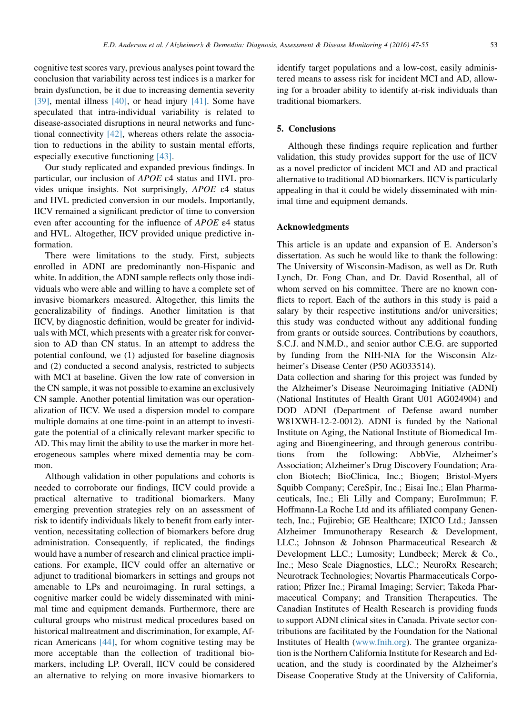cognitive test scores vary, previous analyses point toward the conclusion that variability across test indices is a marker for brain dysfunction, be it due to increasing dementia severity [\[39\],](#page-8-0) mental illness [\[40\],](#page-8-0) or head injury [\[41\]](#page-8-0). Some have speculated that intra-individual variability is related to disease-associated disruptions in neural networks and functional connectivity [\[42\],](#page-8-0) whereas others relate the association to reductions in the ability to sustain mental efforts, especially executive functioning [\[43\]](#page-8-0).

Our study replicated and expanded previous findings. In particular, our inclusion of APOE ε4 status and HVL provides unique insights. Not surprisingly, APOE ε4 status and HVL predicted conversion in our models. Importantly, IICV remained a significant predictor of time to conversion even after accounting for the influence of  $APOE$   $\varepsilon$ 4 status and HVL. Altogether, IICV provided unique predictive information.

There were limitations to the study. First, subjects enrolled in ADNI are predominantly non-Hispanic and white. In addition, the ADNI sample reflects only those individuals who were able and willing to have a complete set of invasive biomarkers measured. Altogether, this limits the generalizability of findings. Another limitation is that IICV, by diagnostic definition, would be greater for individuals with MCI, which presents with a greater risk for conversion to AD than CN status. In an attempt to address the potential confound, we (1) adjusted for baseline diagnosis and (2) conducted a second analysis, restricted to subjects with MCI at baseline. Given the low rate of conversion in the CN sample, it was not possible to examine an exclusively CN sample. Another potential limitation was our operationalization of IICV. We used a dispersion model to compare multiple domains at one time-point in an attempt to investigate the potential of a clinically relevant marker specific to AD. This may limit the ability to use the marker in more heterogeneous samples where mixed dementia may be common.

Although validation in other populations and cohorts is needed to corroborate our findings, IICV could provide a practical alternative to traditional biomarkers. Many emerging prevention strategies rely on an assessment of risk to identify individuals likely to benefit from early intervention, necessitating collection of biomarkers before drug administration. Consequently, if replicated, the findings would have a number of research and clinical practice implications. For example, IICV could offer an alternative or adjunct to traditional biomarkers in settings and groups not amenable to LPs and neuroimaging. In rural settings, a cognitive marker could be widely disseminated with minimal time and equipment demands. Furthermore, there are cultural groups who mistrust medical procedures based on historical maltreatment and discrimination, for example, African Americans [\[44\]](#page-8-0), for whom cognitive testing may be more acceptable than the collection of traditional biomarkers, including LP. Overall, IICV could be considered an alternative to relying on more invasive biomarkers to

identify target populations and a low-cost, easily administered means to assess risk for incident MCI and AD, allowing for a broader ability to identify at-risk individuals than traditional biomarkers.

## 5. Conclusions

Although these findings require replication and further validation, this study provides support for the use of IICV as a novel predictor of incident MCI and AD and practical alternative to traditional AD biomarkers. IICV is particularly appealing in that it could be widely disseminated with minimal time and equipment demands.

## Acknowledgments

This article is an update and expansion of E. Anderson's dissertation. As such he would like to thank the following: The University of Wisconsin-Madison, as well as Dr. Ruth Lynch, Dr. Fong Chan, and Dr. David Rosenthal, all of whom served on his committee. There are no known conflicts to report. Each of the authors in this study is paid a salary by their respective institutions and/or universities; this study was conducted without any additional funding from grants or outside sources. Contributions by coauthors, S.C.J. and N.M.D., and senior author C.E.G. are supported by funding from the NIH-NIA for the Wisconsin Alzheimer's Disease Center (P50 AG033514).

Data collection and sharing for this project was funded by the Alzheimer's Disease Neuroimaging Initiative (ADNI) (National Institutes of Health Grant U01 AG024904) and DOD ADNI (Department of Defense award number W81XWH-12-2-0012). ADNI is funded by the National Institute on Aging, the National Institute of Biomedical Imaging and Bioengineering, and through generous contributions from the following: AbbVie, Alzheimer's Association; Alzheimer's Drug Discovery Foundation; Araclon Biotech; BioClinica, Inc.; Biogen; Bristol-Myers Squibb Company; CereSpir, Inc.; Eisai Inc.; Elan Pharmaceuticals, Inc.; Eli Lilly and Company; EuroImmun; F. Hoffmann-La Roche Ltd and its affiliated company Genentech, Inc.; Fujirebio; GE Healthcare; IXICO Ltd.; Janssen Alzheimer Immunotherapy Research & Development, LLC.; Johnson & Johnson Pharmaceutical Research & Development LLC.; Lumosity; Lundbeck; Merck & Co., Inc.; Meso Scale Diagnostics, LLC.; NeuroRx Research; Neurotrack Technologies; Novartis Pharmaceuticals Corporation; Pfizer Inc.; Piramal Imaging; Servier; Takeda Pharmaceutical Company; and Transition Therapeutics. The Canadian Institutes of Health Research is providing funds to support ADNI clinical sites in Canada. Private sector contributions are facilitated by the Foundation for the National Institutes of Health [\(www.fnih.org](http://www.fnih.org)). The grantee organization is the Northern California Institute for Research and Education, and the study is coordinated by the Alzheimer's Disease Cooperative Study at the University of California,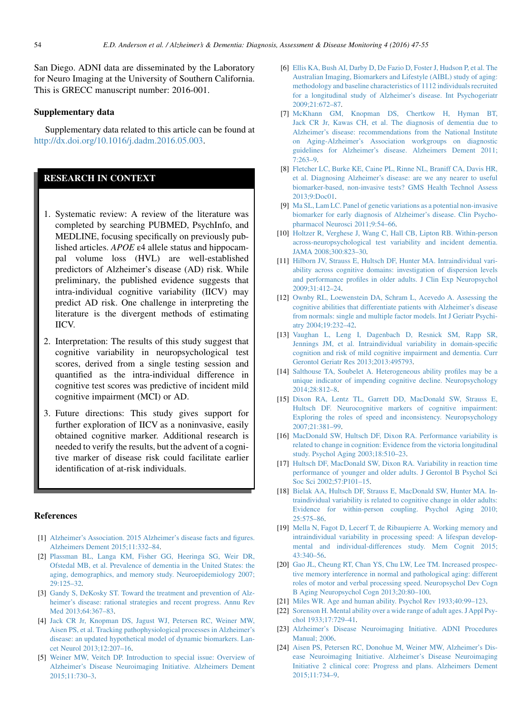<span id="page-7-0"></span>San Diego. ADNI data are disseminated by the Laboratory for Neuro Imaging at the University of Southern California. This is GRECC manuscript number: 2016-001.

## Supplementary data

Supplementary data related to this article can be found at [http://dx.doi.org/10.1016/j.dadm.2016.05.003.](http://dx.doi.org/10.1016/j.dadm.2016.05.003)

# RESEARCH IN CONTEXT

- 1. Systematic review: A review of the literature was completed by searching PUBMED, PsychInfo, and MEDLINE, focusing specifically on previously published articles. APOE ε4 allele status and hippocampal volume loss (HVL) are well-established predictors of Alzheimer's disease (AD) risk. While preliminary, the published evidence suggests that intra-individual cognitive variability (IICV) may predict AD risk. One challenge in interpreting the literature is the divergent methods of estimating IICV.
- 2. Interpretation: The results of this study suggest that cognitive variability in neuropsychological test scores, derived from a single testing session and quantified as the intra-individual difference in cognitive test scores was predictive of incident mild cognitive impairment (MCI) or AD.
- 3. Future directions: This study gives support for further exploration of IICV as a noninvasive, easily obtained cognitive marker. Additional research is needed to verify the results, but the advent of a cognitive marker of disease risk could facilitate earlier identification of at-risk individuals.

#### References

- [1] [Alzheimer's Association. 2015 Alzheimer's disease facts and figures.](http://refhub.elsevier.com/S2352-8729(16)30004-5/sref1) [Alzheimers Dement 2015;11:332–84.](http://refhub.elsevier.com/S2352-8729(16)30004-5/sref1)
- [2] [Plassman BL, Langa KM, Fisher GG, Heeringa SG, Weir DR,](http://refhub.elsevier.com/S2352-8729(16)30004-5/sref2) [Ofstedal MB, et al. Prevalence of dementia in the United States: the](http://refhub.elsevier.com/S2352-8729(16)30004-5/sref2) [aging, demographics, and memory study. Neuroepidemiology 2007;](http://refhub.elsevier.com/S2352-8729(16)30004-5/sref2) [29:125–32](http://refhub.elsevier.com/S2352-8729(16)30004-5/sref2).
- [3] [Gandy S, DeKosky ST. Toward the treatment and prevention of Alz](http://refhub.elsevier.com/S2352-8729(16)30004-5/sref3)[heimer's disease: rational strategies and recent progress. Annu Rev](http://refhub.elsevier.com/S2352-8729(16)30004-5/sref3) [Med 2013;64:367–83](http://refhub.elsevier.com/S2352-8729(16)30004-5/sref3).
- [4] [Jack CR Jr, Knopman DS, Jagust WJ, Petersen RC, Weiner MW,](http://refhub.elsevier.com/S2352-8729(16)30004-5/sref4) [Aisen PS, et al. Tracking pathophysiological processes in Alzheimer's](http://refhub.elsevier.com/S2352-8729(16)30004-5/sref4) [disease: an updated hypothetical model of dynamic biomarkers. Lan](http://refhub.elsevier.com/S2352-8729(16)30004-5/sref4)[cet Neurol 2013;12:207–16](http://refhub.elsevier.com/S2352-8729(16)30004-5/sref4).
- [5] [Weiner MW, Veitch DP. Introduction to special issue: Overview of](http://refhub.elsevier.com/S2352-8729(16)30004-5/sref5) [Alzheimer's Disease Neuroimaging Initiative. Alzheimers Dement](http://refhub.elsevier.com/S2352-8729(16)30004-5/sref5) [2015;11:730–3](http://refhub.elsevier.com/S2352-8729(16)30004-5/sref5).
- [6] [Ellis KA, Bush AI, Darby D, De Fazio D, Foster J, Hudson P, et al. The](http://refhub.elsevier.com/S2352-8729(16)30004-5/sref6) [Australian Imaging, Biomarkers and Lifestyle \(AIBL\) study of aging:](http://refhub.elsevier.com/S2352-8729(16)30004-5/sref6) [methodology and baseline characteristics of 1112 individuals recruited](http://refhub.elsevier.com/S2352-8729(16)30004-5/sref6) [for a longitudinal study of Alzheimer's disease. Int Psychogeriatr](http://refhub.elsevier.com/S2352-8729(16)30004-5/sref6) [2009;21:672–87](http://refhub.elsevier.com/S2352-8729(16)30004-5/sref6).
- [7] [McKhann GM, Knopman DS, Chertkow H, Hyman BT,](http://refhub.elsevier.com/S2352-8729(16)30004-5/sref7) [Jack CR Jr, Kawas CH, et al. The diagnosis of dementia due to](http://refhub.elsevier.com/S2352-8729(16)30004-5/sref7) [Alzheimer's disease: recommendations from the National Institute](http://refhub.elsevier.com/S2352-8729(16)30004-5/sref7) [on Aging-Alzheimer's Association workgroups on diagnostic](http://refhub.elsevier.com/S2352-8729(16)30004-5/sref7) [guidelines for Alzheimer's disease. Alzheimers Dement 2011;](http://refhub.elsevier.com/S2352-8729(16)30004-5/sref7) [7:263–9](http://refhub.elsevier.com/S2352-8729(16)30004-5/sref7).
- [8] [Fletcher LC, Burke KE, Caine PL, Rinne NL, Braniff CA, Davis HR,](http://refhub.elsevier.com/S2352-8729(16)30004-5/sref8) [et al. Diagnosing Alzheimer's disease: are we any nearer to useful](http://refhub.elsevier.com/S2352-8729(16)30004-5/sref8) [biomarker-based, non-invasive tests? GMS Health Technol Assess](http://refhub.elsevier.com/S2352-8729(16)30004-5/sref8) [2013;9:Doc01.](http://refhub.elsevier.com/S2352-8729(16)30004-5/sref8)
- [9] [Ma SL, Lam LC. Panel of genetic variations as a potential non-invasive](http://refhub.elsevier.com/S2352-8729(16)30004-5/sref9) [biomarker for early diagnosis of Alzheimer's disease. Clin Psycho](http://refhub.elsevier.com/S2352-8729(16)30004-5/sref9)[pharmacol Neurosci 2011;9:54–66](http://refhub.elsevier.com/S2352-8729(16)30004-5/sref9).
- [10] [Holtzer R, Verghese J, Wang C, Hall CB, Lipton RB. Within-person](http://refhub.elsevier.com/S2352-8729(16)30004-5/sref10) [across-neuropsychological test variability and incident dementia.](http://refhub.elsevier.com/S2352-8729(16)30004-5/sref10) [JAMA 2008;300:823–30.](http://refhub.elsevier.com/S2352-8729(16)30004-5/sref10)
- [11] [Hilborn JV, Strauss E, Hultsch DF, Hunter MA. Intraindividual vari](http://refhub.elsevier.com/S2352-8729(16)30004-5/sref11)[ability across cognitive domains: investigation of dispersion levels](http://refhub.elsevier.com/S2352-8729(16)30004-5/sref11) [and performance profiles in older adults. J Clin Exp Neuropsychol](http://refhub.elsevier.com/S2352-8729(16)30004-5/sref11) [2009;31:412–24](http://refhub.elsevier.com/S2352-8729(16)30004-5/sref11).
- [12] [Ownby RL, Loewenstein DA, Schram L, Acevedo A. Assessing the](http://refhub.elsevier.com/S2352-8729(16)30004-5/sref12) [cognitive abilities that differentiate patients with Alzheimer's disease](http://refhub.elsevier.com/S2352-8729(16)30004-5/sref12) [from normals: single and multiple factor models. Int J Geriatr Psychi](http://refhub.elsevier.com/S2352-8729(16)30004-5/sref12)[atry 2004;19:232–42.](http://refhub.elsevier.com/S2352-8729(16)30004-5/sref12)
- [13] [Vaughan L, Leng I, Dagenbach D, Resnick SM, Rapp SR,](http://refhub.elsevier.com/S2352-8729(16)30004-5/sref13) [Jennings JM, et al. Intraindividual variability in domain-specific](http://refhub.elsevier.com/S2352-8729(16)30004-5/sref13) [cognition and risk of mild cognitive impairment and dementia. Curr](http://refhub.elsevier.com/S2352-8729(16)30004-5/sref13) [Gerontol Geriatr Res 2013;2013:495793.](http://refhub.elsevier.com/S2352-8729(16)30004-5/sref13)
- [14] [Salthouse TA, Soubelet A. Heterogeneous ability profiles may be a](http://refhub.elsevier.com/S2352-8729(16)30004-5/sref14) [unique indicator of impending cognitive decline. Neuropsychology](http://refhub.elsevier.com/S2352-8729(16)30004-5/sref14) [2014;28:812–8](http://refhub.elsevier.com/S2352-8729(16)30004-5/sref14).
- [15] [Dixon RA, Lentz TL, Garrett DD, MacDonald SW, Strauss E,](http://refhub.elsevier.com/S2352-8729(16)30004-5/sref15) [Hultsch DF. Neurocognitive markers of cognitive impairment:](http://refhub.elsevier.com/S2352-8729(16)30004-5/sref15) [Exploring the roles of speed and inconsistency. Neuropsychology](http://refhub.elsevier.com/S2352-8729(16)30004-5/sref15) [2007;21:381–99](http://refhub.elsevier.com/S2352-8729(16)30004-5/sref15).
- [16] [MacDonald SW, Hultsch DF, Dixon RA. Performance variability is](http://refhub.elsevier.com/S2352-8729(16)30004-5/sref16) [related to change in cognition: Evidence from the victoria longitudinal](http://refhub.elsevier.com/S2352-8729(16)30004-5/sref16) [study. Psychol Aging 2003;18:510–23.](http://refhub.elsevier.com/S2352-8729(16)30004-5/sref16)
- [17] [Hultsch DF, MacDonald SW, Dixon RA. Variability in reaction time](http://refhub.elsevier.com/S2352-8729(16)30004-5/sref17) [performance of younger and older adults. J Gerontol B Psychol Sci](http://refhub.elsevier.com/S2352-8729(16)30004-5/sref17) [Soc Sci 2002;57:P101–15](http://refhub.elsevier.com/S2352-8729(16)30004-5/sref17).
- [18] [Bielak AA, Hultsch DF, Strauss E, MacDonald SW, Hunter MA. In](http://refhub.elsevier.com/S2352-8729(16)30004-5/sref18)[traindividual variability is related to cognitive change in older adults:](http://refhub.elsevier.com/S2352-8729(16)30004-5/sref18) [Evidence for within-person coupling. Psychol Aging 2010;](http://refhub.elsevier.com/S2352-8729(16)30004-5/sref18) [25:575–86](http://refhub.elsevier.com/S2352-8729(16)30004-5/sref18).
- [19] [Mella N, Fagot D, Lecerf T, de Ribaupierre A. Working memory and](http://refhub.elsevier.com/S2352-8729(16)30004-5/sref19) [intraindividual variability in processing speed: A lifespan develop](http://refhub.elsevier.com/S2352-8729(16)30004-5/sref19)[mental and individual-differences study. Mem Cognit 2015;](http://refhub.elsevier.com/S2352-8729(16)30004-5/sref19) [43:340–56](http://refhub.elsevier.com/S2352-8729(16)30004-5/sref19).
- [20] [Gao JL, Cheung RT, Chan YS, Chu LW, Lee TM. Increased prospec](http://refhub.elsevier.com/S2352-8729(16)30004-5/sref20)[tive memory interference in normal and pathological aging: different](http://refhub.elsevier.com/S2352-8729(16)30004-5/sref20) [roles of motor and verbal processing speed. Neuropsychol Dev Cogn](http://refhub.elsevier.com/S2352-8729(16)30004-5/sref20) [B Aging Neuropsychol Cogn 2013;20:80–100](http://refhub.elsevier.com/S2352-8729(16)30004-5/sref20).
- [21] [Miles WR. Age and human ability. Psychol Rev 1933;40:99–123](http://refhub.elsevier.com/S2352-8729(16)30004-5/sref21).
- [22] [Sorenson H. Mental ability over a wide range of adult ages. J Appl Psy](http://refhub.elsevier.com/S2352-8729(16)30004-5/sref22)[chol 1933;17:729–41](http://refhub.elsevier.com/S2352-8729(16)30004-5/sref22).
- [23] [Alzheimer's Disease Neuroimaging Initiative. ADNI Procedures](http://refhub.elsevier.com/S2352-8729(16)30004-5/sref23) [Manual; 2006.](http://refhub.elsevier.com/S2352-8729(16)30004-5/sref23)
- [24] [Aisen PS, Petersen RC, Donohue M, Weiner MW, Alzheimer's Dis](http://refhub.elsevier.com/S2352-8729(16)30004-5/sref24)[ease Neuroimaging Initiative. Alzheimer's Disease Neuroimaging](http://refhub.elsevier.com/S2352-8729(16)30004-5/sref24) [Initiative 2 clinical core: Progress and plans. Alzheimers Dement](http://refhub.elsevier.com/S2352-8729(16)30004-5/sref24) [2015;11:734–9](http://refhub.elsevier.com/S2352-8729(16)30004-5/sref24).